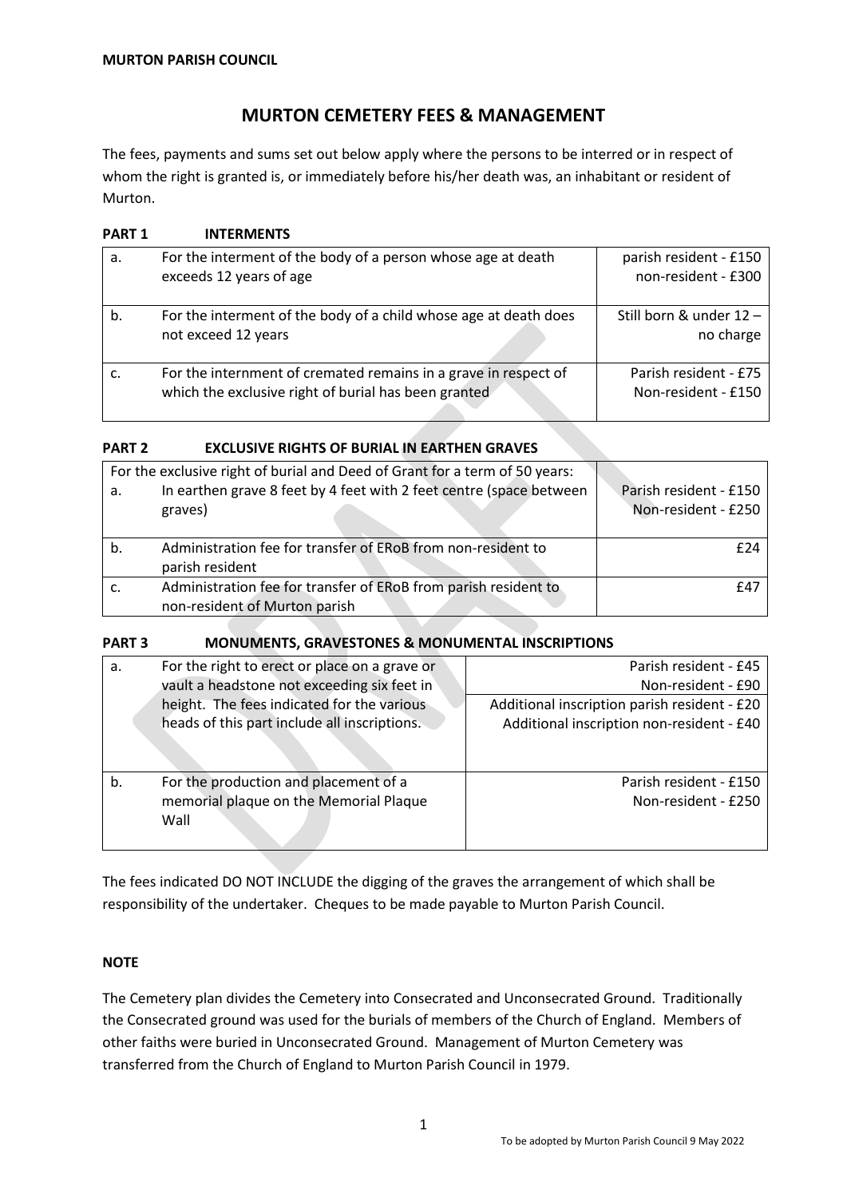# **MURTON CEMETERY FEES & MANAGEMENT**

The fees, payments and sums set out below apply where the persons to be interred or in respect of whom the right is granted is, or immediately before his/her death was, an inhabitant or resident of Murton.

| <b>PART 1</b> | <b>INTERMENTS</b>                                                                                                       |                                               |
|---------------|-------------------------------------------------------------------------------------------------------------------------|-----------------------------------------------|
| a.            | For the interment of the body of a person whose age at death<br>exceeds 12 years of age                                 | parish resident - £150<br>non-resident - £300 |
| b.            | For the interment of the body of a child whose age at death does<br>not exceed 12 years                                 | Still born & under 12 -<br>no charge          |
|               | For the internment of cremated remains in a grave in respect of<br>which the exclusive right of burial has been granted | Parish resident - £75<br>Non-resident - £150  |

# **PART 2 EXCLUSIVE RIGHTS OF BURIAL IN EARTHEN GRAVES**

| а. | For the exclusive right of burial and Deed of Grant for a term of 50 years:<br>In earthen grave 8 feet by 4 feet with 2 feet centre (space between<br>graves) | Parish resident - £150<br>Non-resident - £250 |
|----|---------------------------------------------------------------------------------------------------------------------------------------------------------------|-----------------------------------------------|
| b. | Administration fee for transfer of ERoB from non-resident to                                                                                                  | f 24                                          |
|    | parish resident                                                                                                                                               |                                               |
|    | Administration fee for transfer of ERoB from parish resident to                                                                                               | £4.                                           |
|    | non-resident of Murton parish                                                                                                                                 |                                               |

# **PART 3 MONUMENTS, GRAVESTONES & MONUMENTAL INSCRIPTIONS**

| a. | For the right to erect or place on a grave or | Parish resident - £45                        |
|----|-----------------------------------------------|----------------------------------------------|
|    | vault a headstone not exceeding six feet in   | Non-resident - £90                           |
|    | height. The fees indicated for the various    | Additional inscription parish resident - £20 |
|    | heads of this part include all inscriptions.  | Additional inscription non-resident - £40    |
|    |                                               |                                              |
| b. | For the production and placement of a         | Parish resident - £150                       |
|    | memorial plaque on the Memorial Plaque        | Non-resident - £250                          |
|    | Wall                                          |                                              |

The fees indicated DO NOT INCLUDE the digging of the graves the arrangement of which shall be responsibility of the undertaker. Cheques to be made payable to Murton Parish Council.

# **NOTE**

The Cemetery plan divides the Cemetery into Consecrated and Unconsecrated Ground. Traditionally the Consecrated ground was used for the burials of members of the Church of England. Members of other faiths were buried in Unconsecrated Ground. Management of Murton Cemetery was transferred from the Church of England to Murton Parish Council in 1979.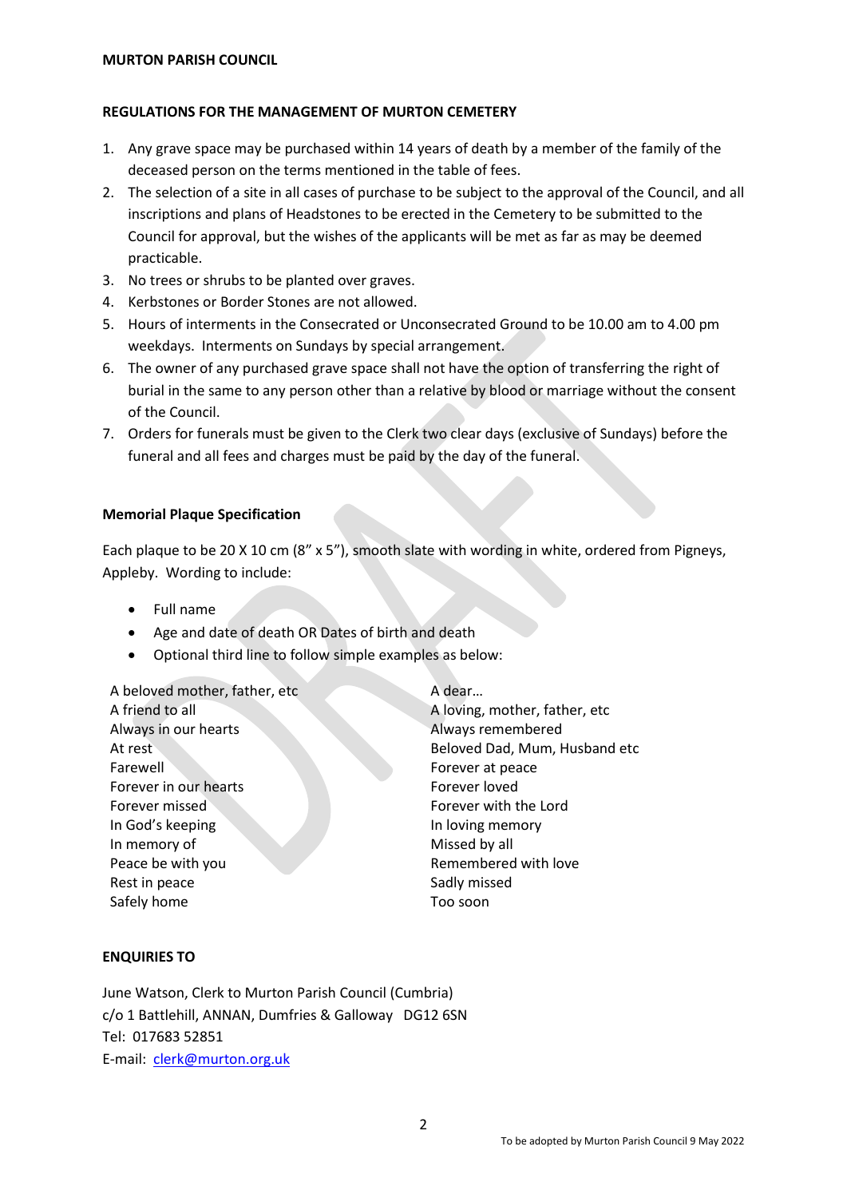#### **MURTON PARISH COUNCIL**

#### **REGULATIONS FOR THE MANAGEMENT OF MURTON CEMETERY**

- 1. Any grave space may be purchased within 14 years of death by a member of the family of the deceased person on the terms mentioned in the table of fees.
- 2. The selection of a site in all cases of purchase to be subject to the approval of the Council, and all inscriptions and plans of Headstones to be erected in the Cemetery to be submitted to the Council for approval, but the wishes of the applicants will be met as far as may be deemed practicable.
- 3. No trees or shrubs to be planted over graves.
- 4. Kerbstones or Border Stones are not allowed.
- 5. Hours of interments in the Consecrated or Unconsecrated Ground to be 10.00 am to 4.00 pm weekdays. Interments on Sundays by special arrangement.
- 6. The owner of any purchased grave space shall not have the option of transferring the right of burial in the same to any person other than a relative by blood or marriage without the consent of the Council.
- 7. Orders for funerals must be given to the Clerk two clear days (exclusive of Sundays) before the funeral and all fees and charges must be paid by the day of the funeral.

#### **Memorial Plaque Specification**

Each plaque to be 20 X 10 cm (8" x 5"), smooth slate with wording in white, ordered from Pigneys, Appleby. Wording to include:

- Full name
- Age and date of death OR Dates of birth and death
- Optional third line to follow simple examples as below:

A beloved mother, father, etc A dear... Always in our hearts Always remembered Farewell Farewell Forever at peace Forever in our hearts Forever loved Forever missed Forever with the Lord In God's keeping and Indoving memory In memory of Missed by all Peace be with you **Remembered with love** Rest in peace Sadly missed Safely home Too soon

A friend to all A loving, mother, father, etc At rest **Beloved Dad, Mum, Husband etc** 

# **ENQUIRIES TO**

June Watson, Clerk to Murton Parish Council (Cumbria) c/o 1 Battlehill, ANNAN, Dumfries & Galloway DG12 6SN Tel: 017683 52851 E-mail: [clerk@murton.org.uk](mailto:clerk@murton.org.uk)